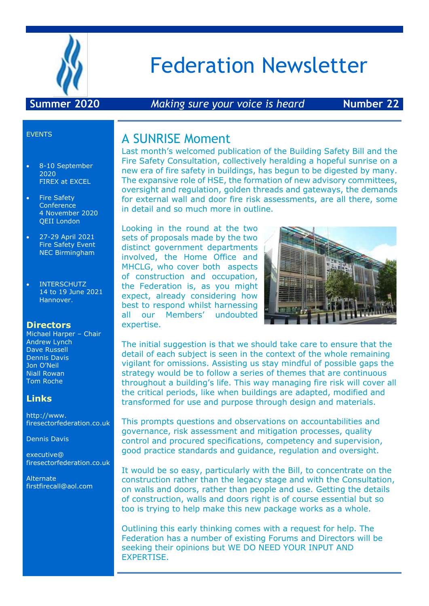

# Federation Newsletter

#### **Summer 2020** *Making sure your voice is heard* **Number 22**

#### EVENTS

- 8-10 September 2020 FIREX at EXCEL
- Fire Safety **Conference** 4 November 2020 QEII London
- 27-29 April 2021 Fire Safety Event NEC Birmingham
- INTERSCHUTZ 14 to 19 June 2021 Hannover.

#### **Directors**

Michael Harper – Chair Andrew Lynch Dave Russell Dennis Davis Jon O'Neil Niall Rowan Tom Roche

#### **Links**

http://www. firesectorfederation.co.uk

Dennis Davis

executive@ firesectorfederation.co.uk

Alternate firstfirecall@aol.com

#### A SUNRISE Moment

Last month's welcomed publication of the Building Safety Bill and the Fire Safety Consultation, collectively heralding a hopeful sunrise on a new era of fire safety in buildings, has begun to be digested by many. The expansive role of HSE, the formation of new advisory committees, oversight and regulation, golden threads and gateways, the demands for external wall and door fire risk assessments, are all there, some in detail and so much more in outline.

Looking in the round at the two sets of proposals made by the two distinct government departments involved, the Home Office and MHCLG, who cover both aspects of construction and occupation, the Federation is, as you might expect, already considering how best to respond whilst harnessing all our Members' undoubted expertise.



The initial suggestion is that we should take care to ensure that the detail of each subject is seen in the context of the whole remaining vigilant for omissions. Assisting us stay mindful of possible gaps the strategy would be to follow a series of themes that are continuous throughout a building's life. This way managing fire risk will cover all the critical periods, like when buildings are adapted, modified and transformed for use and purpose through design and materials.

This prompts questions and observations on accountabilities and governance, risk assessment and mitigation processes, quality control and procured specifications, competency and supervision, good practice standards and guidance, regulation and oversight.

It would be so easy, particularly with the Bill, to concentrate on the construction rather than the legacy stage and with the Consultation, on walls and doors, rather than people and use. Getting the details of construction, walls and doors right is of course essential but so too is trying to help make this new package works as a whole.

Outlining this early thinking comes with a request for help. The Federation has a number of existing Forums and Directors will be seeking their opinions but WE DO NEED YOUR INPUT AND EXPERTISE.